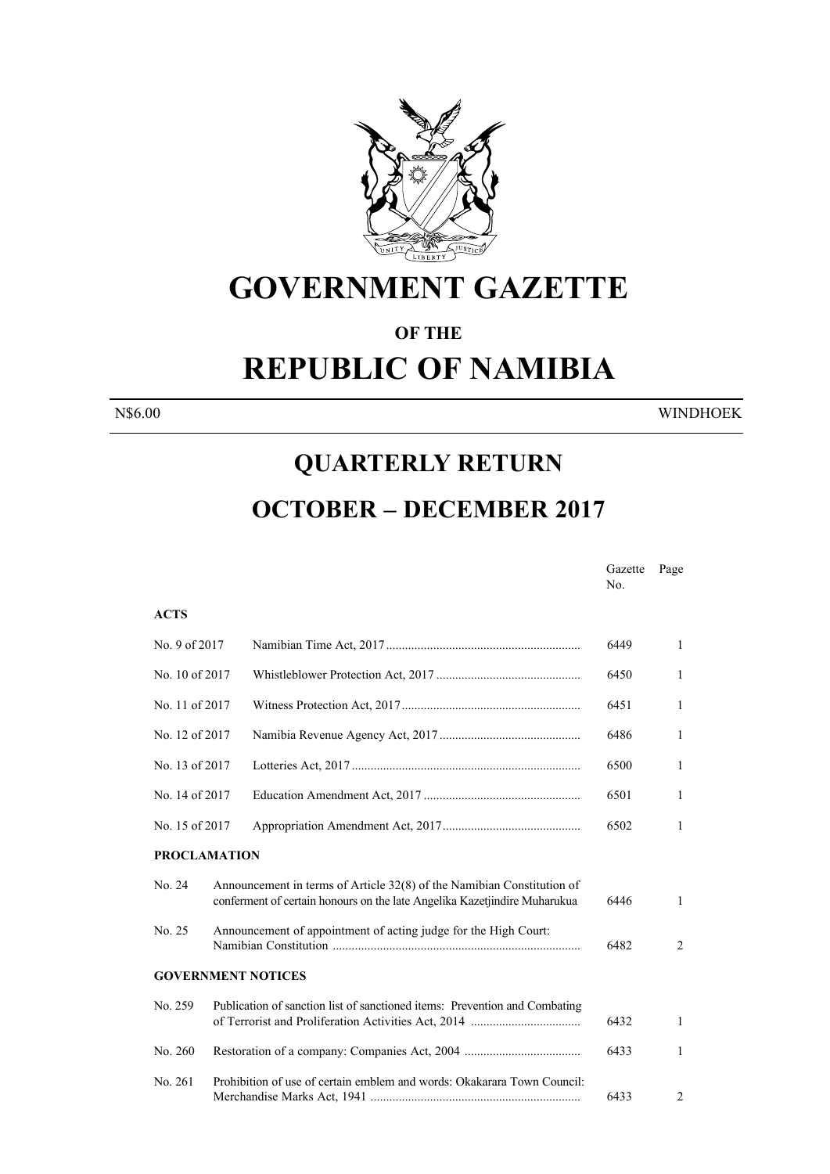

# **GOVERNMENT GAZETTE**

#### **OF THE**

# **REPUBLIC OF NAMIBIA**

N\$6.00 WINDHOEK

### **QUARTERLY RETURN**

## **OCTOBER – DECEMBER 2017**

Gazette Page No. No. 1996. In the state of the state of the state of the state of the state of the state of the state of the state of the state of the state of the state of the state of the state of the state of the state of the state

#### **ACTS**

| No. 9 of 2017       |                                                                                                                                                     | 6449 | $\mathbf{1}$   |
|---------------------|-----------------------------------------------------------------------------------------------------------------------------------------------------|------|----------------|
| No. 10 of 2017      |                                                                                                                                                     | 6450 | $\mathbf{1}$   |
| No. 11 of 2017      |                                                                                                                                                     | 6451 | $\mathbf{1}$   |
| No. 12 of 2017      |                                                                                                                                                     | 6486 | $\mathbf{1}$   |
| No. 13 of 2017      |                                                                                                                                                     | 6500 | $\mathbf{1}$   |
| No. 14 of 2017      |                                                                                                                                                     | 6501 | 1              |
| No. 15 of 2017      |                                                                                                                                                     | 6502 | $\mathbf{1}$   |
| <b>PROCLAMATION</b> |                                                                                                                                                     |      |                |
| No. 24              | Announcement in terms of Article 32(8) of the Namibian Constitution of<br>conferment of certain honours on the late Angelika Kazetjindire Muharukua | 6446 | $\mathbf{1}$   |
| No. 25              | Announcement of appointment of acting judge for the High Court:                                                                                     | 6482 | $\overline{2}$ |
|                     | <b>GOVERNMENT NOTICES</b>                                                                                                                           |      |                |
| No. 259             | Publication of sanction list of sanctioned items: Prevention and Combating                                                                          | 6432 | $\mathbf{1}$   |
| No. 260             |                                                                                                                                                     | 6433 | 1              |
| No. 261             | Prohibition of use of certain emblem and words: Okakarara Town Council:                                                                             | 6433 | $\overline{2}$ |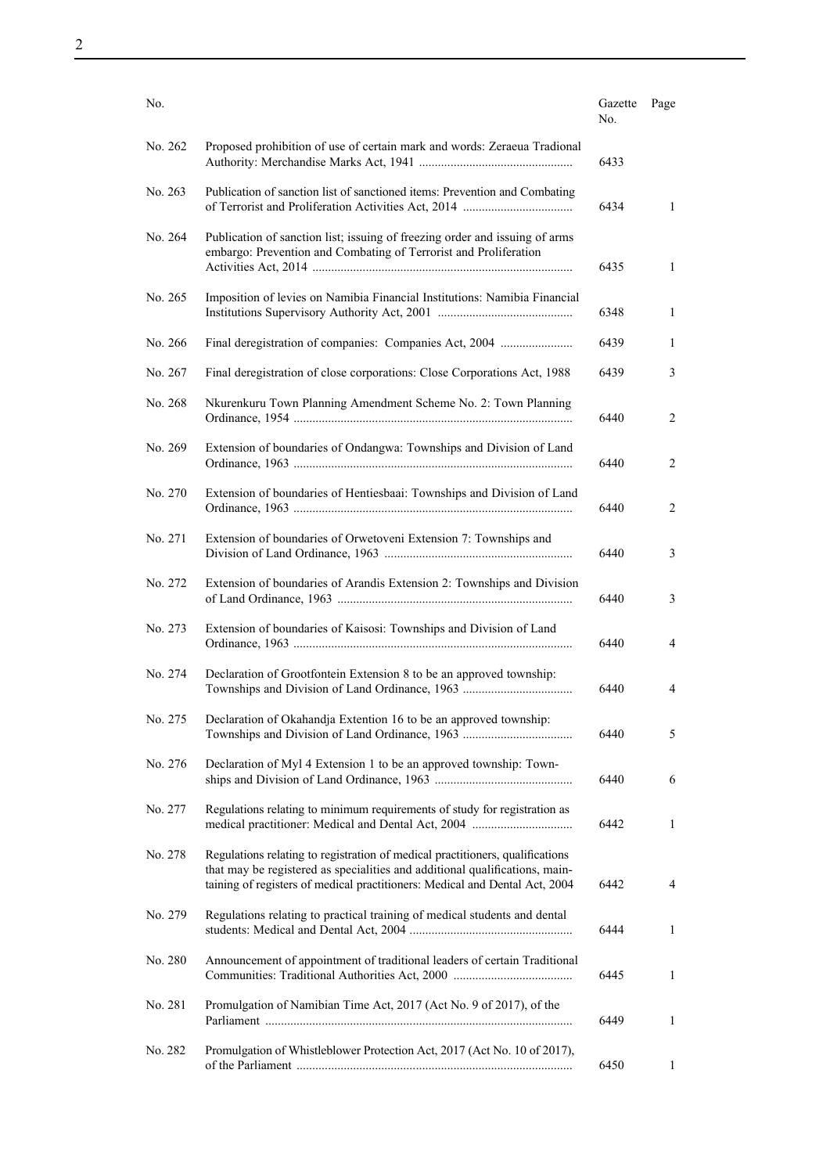| No.     |                                                                                                                                                                                                                                             | Gazette<br>No. | Page |
|---------|---------------------------------------------------------------------------------------------------------------------------------------------------------------------------------------------------------------------------------------------|----------------|------|
| No. 262 | Proposed prohibition of use of certain mark and words: Zeraeua Tradional                                                                                                                                                                    | 6433           |      |
| No. 263 | Publication of sanction list of sanctioned items: Prevention and Combating                                                                                                                                                                  | 6434           | 1    |
| No. 264 | Publication of sanction list; issuing of freezing order and issuing of arms<br>embargo: Prevention and Combating of Terrorist and Proliferation                                                                                             | 6435           | 1    |
| No. 265 | Imposition of levies on Namibia Financial Institutions: Namibia Financial                                                                                                                                                                   | 6348           | 1    |
| No. 266 | Final deregistration of companies: Companies Act, 2004                                                                                                                                                                                      | 6439           | 1    |
| No. 267 | Final deregistration of close corporations: Close Corporations Act, 1988                                                                                                                                                                    | 6439           | 3    |
| No. 268 | Nkurenkuru Town Planning Amendment Scheme No. 2: Town Planning                                                                                                                                                                              | 6440           | 2    |
| No. 269 | Extension of boundaries of Ondangwa: Townships and Division of Land                                                                                                                                                                         | 6440           | 2    |
| No. 270 | Extension of boundaries of Hentiesbaai: Townships and Division of Land                                                                                                                                                                      | 6440           | 2    |
| No. 271 | Extension of boundaries of Orwetoveni Extension 7: Townships and                                                                                                                                                                            | 6440           | 3    |
| No. 272 | Extension of boundaries of Arandis Extension 2: Townships and Division                                                                                                                                                                      | 6440           | 3    |
| No. 273 | Extension of boundaries of Kaisosi: Townships and Division of Land                                                                                                                                                                          | 6440           | 4    |
| No. 274 | Declaration of Grootfontein Extension 8 to be an approved township:                                                                                                                                                                         | 6440           | 4    |
| No. 275 | Declaration of Okahandja Extention 16 to be an approved township:                                                                                                                                                                           | 6440           | 5    |
| No. 276 | Declaration of Myl 4 Extension 1 to be an approved township: Town-                                                                                                                                                                          | 6440           | 6    |
| No. 277 | Regulations relating to minimum requirements of study for registration as                                                                                                                                                                   | 6442           | 1    |
| No. 278 | Regulations relating to registration of medical practitioners, qualifications<br>that may be registered as specialities and additional qualifications, main-<br>taining of registers of medical practitioners: Medical and Dental Act, 2004 | 6442           | 4    |
| No. 279 | Regulations relating to practical training of medical students and dental                                                                                                                                                                   | 6444           | 1    |
| No. 280 | Announcement of appointment of traditional leaders of certain Traditional                                                                                                                                                                   | 6445           | 1    |
| No. 281 | Promulgation of Namibian Time Act, 2017 (Act No. 9 of 2017), of the                                                                                                                                                                         | 6449           | 1    |
| No. 282 | Promulgation of Whistleblower Protection Act, 2017 (Act No. 10 of 2017),                                                                                                                                                                    | 6450           | 1    |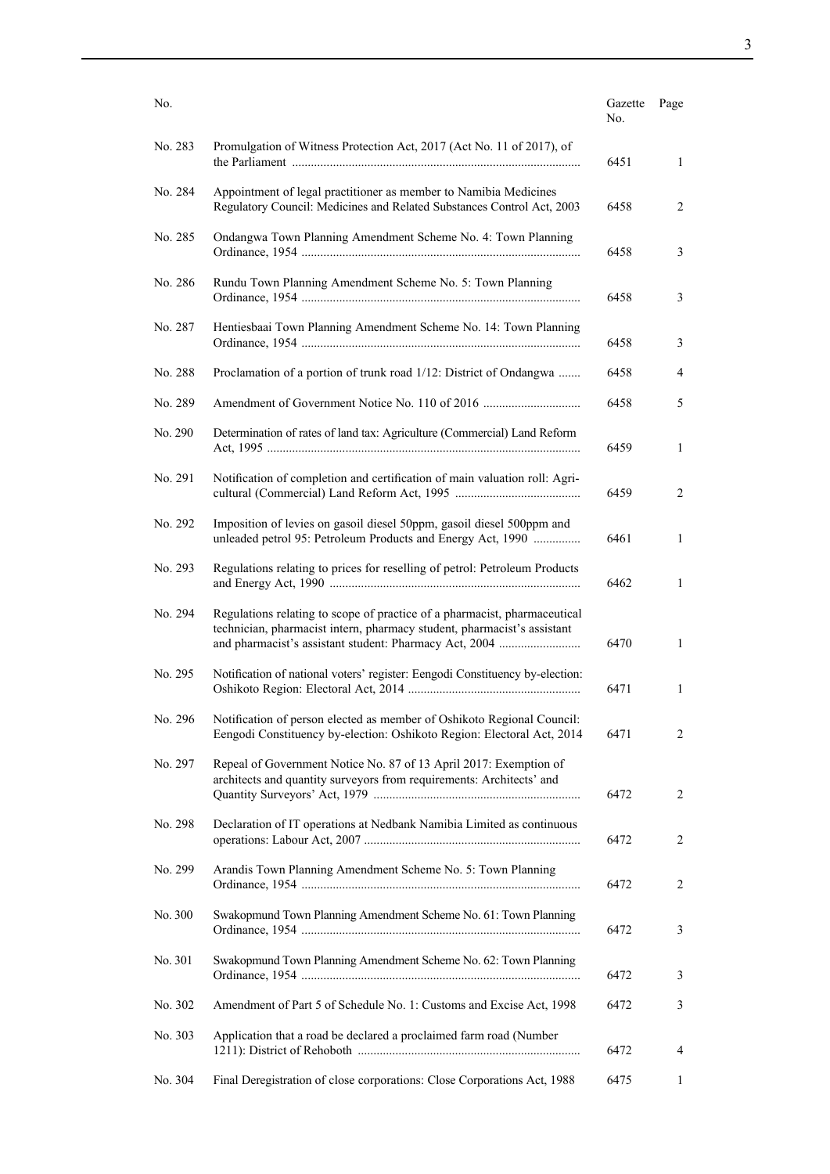| No.     |                                                                                                                                                      | Gazette<br>No. | Page           |
|---------|------------------------------------------------------------------------------------------------------------------------------------------------------|----------------|----------------|
| No. 283 | Promulgation of Witness Protection Act, 2017 (Act No. 11 of 2017), of                                                                                | 6451           | $\mathbf{1}$   |
| No. 284 | Appointment of legal practitioner as member to Namibia Medicines<br>Regulatory Council: Medicines and Related Substances Control Act, 2003           | 6458           | 2              |
| No. 285 | Ondangwa Town Planning Amendment Scheme No. 4: Town Planning                                                                                         | 6458           | 3              |
| No. 286 | Rundu Town Planning Amendment Scheme No. 5: Town Planning                                                                                            | 6458           | 3              |
| No. 287 | Hentiesbaai Town Planning Amendment Scheme No. 14: Town Planning                                                                                     | 6458           | 3              |
| No. 288 | Proclamation of a portion of trunk road 1/12: District of Ondangwa                                                                                   | 6458           | 4              |
| No. 289 |                                                                                                                                                      | 6458           | 5              |
| No. 290 | Determination of rates of land tax: Agriculture (Commercial) Land Reform                                                                             | 6459           | $\mathbf{1}$   |
| No. 291 | Notification of completion and certification of main valuation roll: Agri-                                                                           | 6459           | 2              |
| No. 292 | Imposition of levies on gasoil diesel 50ppm, gasoil diesel 500ppm and<br>unleaded petrol 95: Petroleum Products and Energy Act, 1990                 | 6461           | $\mathbf{1}$   |
| No. 293 | Regulations relating to prices for reselling of petrol: Petroleum Products                                                                           | 6462           | 1              |
| No. 294 | Regulations relating to scope of practice of a pharmacist, pharmaceutical<br>technician, pharmacist intern, pharmacy student, pharmacist's assistant | 6470           | 1              |
| No. 295 | Notification of national voters' register: Eengodi Constituency by-election:                                                                         | 6471           | 1              |
| No. 296 | Notification of person elected as member of Oshikoto Regional Council:<br>Eengodi Constituency by-election: Oshikoto Region: Electoral Act, 2014     | 6471           | 2              |
| No. 297 | Repeal of Government Notice No. 87 of 13 April 2017: Exemption of<br>architects and quantity surveyors from requirements: Architects' and            | 6472           | $\overline{c}$ |
| No. 298 | Declaration of IT operations at Nedbank Namibia Limited as continuous                                                                                | 6472           | 2              |
| No. 299 | Arandis Town Planning Amendment Scheme No. 5: Town Planning                                                                                          | 6472           | 2              |
| No. 300 | Swakopmund Town Planning Amendment Scheme No. 61: Town Planning                                                                                      | 6472           | 3              |
| No. 301 | Swakopmund Town Planning Amendment Scheme No. 62: Town Planning                                                                                      | 6472           | 3              |
| No. 302 | Amendment of Part 5 of Schedule No. 1: Customs and Excise Act, 1998                                                                                  | 6472           | 3              |
| No. 303 | Application that a road be declared a proclaimed farm road (Number                                                                                   | 6472           | 4              |
| No. 304 | Final Deregistration of close corporations: Close Corporations Act, 1988                                                                             | 6475           | 1              |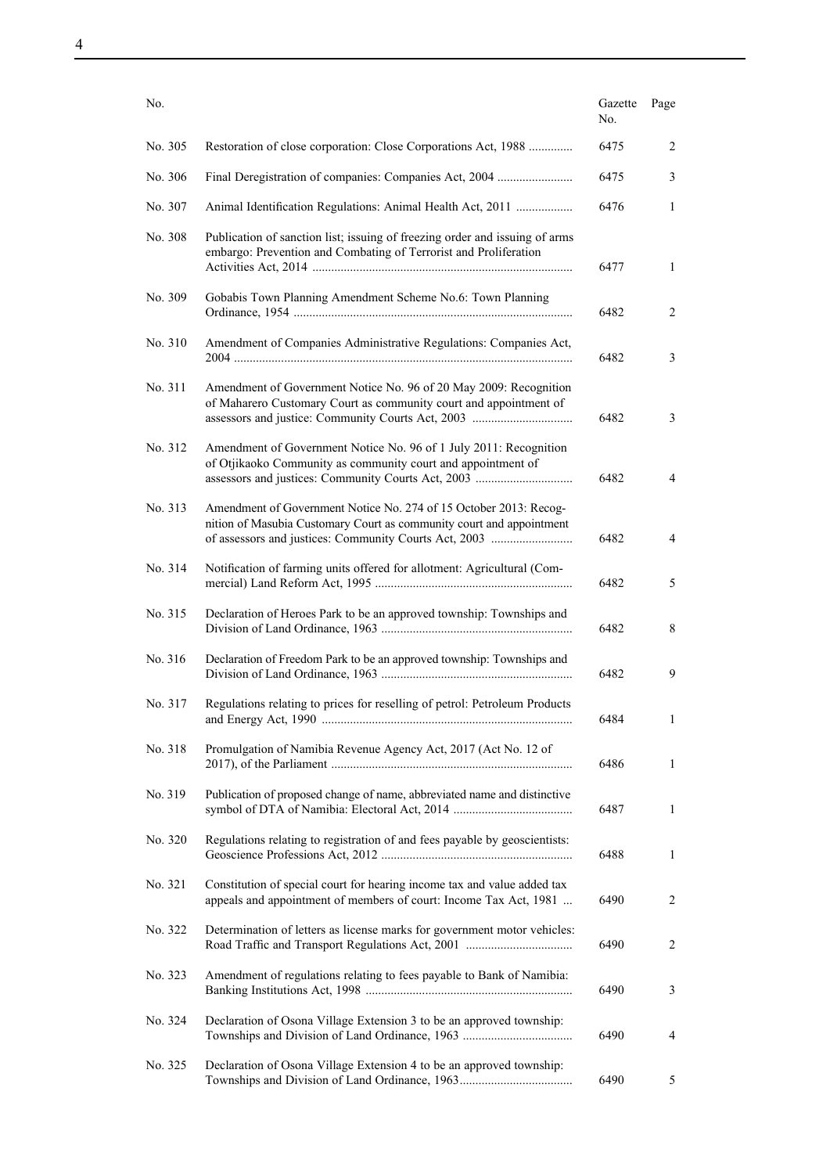| No.     |                                                                                                                                                                                                    | Gazette<br>No. | Page           |
|---------|----------------------------------------------------------------------------------------------------------------------------------------------------------------------------------------------------|----------------|----------------|
| No. 305 | Restoration of close corporation: Close Corporations Act, 1988                                                                                                                                     | 6475           | 2              |
| No. 306 | Final Deregistration of companies: Companies Act, 2004                                                                                                                                             | 6475           | 3              |
| No. 307 | Animal Identification Regulations: Animal Health Act, 2011                                                                                                                                         | 6476           | 1              |
| No. 308 | Publication of sanction list; issuing of freezing order and issuing of arms<br>embargo: Prevention and Combating of Terrorist and Proliferation                                                    | 6477           | 1              |
| No. 309 | Gobabis Town Planning Amendment Scheme No.6: Town Planning                                                                                                                                         | 6482           | 2              |
| No. 310 | Amendment of Companies Administrative Regulations: Companies Act,                                                                                                                                  | 6482           | 3              |
| No. 311 | Amendment of Government Notice No. 96 of 20 May 2009: Recognition<br>of Maharero Customary Court as community court and appointment of                                                             | 6482           | 3              |
| No. 312 | Amendment of Government Notice No. 96 of 1 July 2011: Recognition<br>of Otjikaoko Community as community court and appointment of                                                                  | 6482           | 4              |
| No. 313 | Amendment of Government Notice No. 274 of 15 October 2013: Recog-<br>nition of Masubia Customary Court as community court and appointment<br>of assessors and justices: Community Courts Act, 2003 | 6482           | 4              |
| No. 314 | Notification of farming units offered for allotment: Agricultural (Com-                                                                                                                            | 6482           | 5              |
| No. 315 | Declaration of Heroes Park to be an approved township: Townships and                                                                                                                               | 6482           | 8              |
| No. 316 | Declaration of Freedom Park to be an approved township: Townships and                                                                                                                              | 6482           | 9              |
| No. 317 | Regulations relating to prices for reselling of petrol: Petroleum Products                                                                                                                         | 6484           | 1              |
| No. 318 | Promulgation of Namibia Revenue Agency Act, 2017 (Act No. 12 of                                                                                                                                    | 6486           | $\mathbf{1}$   |
| No. 319 | Publication of proposed change of name, abbreviated name and distinctive                                                                                                                           | 6487           | 1              |
| No. 320 | Regulations relating to registration of and fees payable by geoscientists:                                                                                                                         | 6488           | 1              |
| No. 321 | Constitution of special court for hearing income tax and value added tax<br>appeals and appointment of members of court: Income Tax Act, 1981                                                      | 6490           | $\overline{2}$ |
| No. 322 | Determination of letters as license marks for government motor vehicles:                                                                                                                           | 6490           | 2              |
| No. 323 | Amendment of regulations relating to fees payable to Bank of Namibia:                                                                                                                              | 6490           | 3              |
| No. 324 | Declaration of Osona Village Extension 3 to be an approved township:                                                                                                                               | 6490           | 4              |
| No. 325 | Declaration of Osona Village Extension 4 to be an approved township:                                                                                                                               | 6490           | 5              |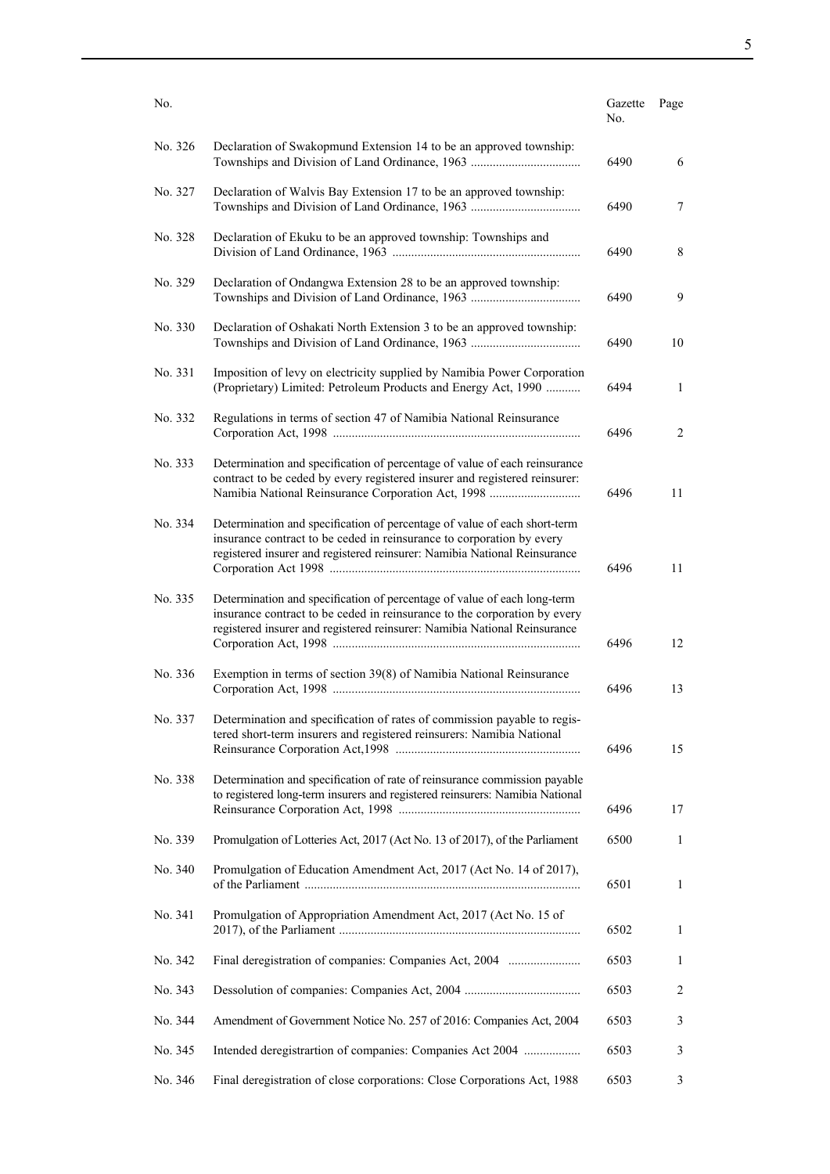| No.     |                                                                                                                                                                                                                                    | Gazette<br>No. | Page |
|---------|------------------------------------------------------------------------------------------------------------------------------------------------------------------------------------------------------------------------------------|----------------|------|
| No. 326 | Declaration of Swakopmund Extension 14 to be an approved township:                                                                                                                                                                 | 6490           | 6    |
| No. 327 | Declaration of Walvis Bay Extension 17 to be an approved township:                                                                                                                                                                 | 6490           | 7    |
| No. 328 | Declaration of Ekuku to be an approved township: Townships and                                                                                                                                                                     | 6490           | 8    |
| No. 329 | Declaration of Ondangwa Extension 28 to be an approved township:                                                                                                                                                                   | 6490           | 9    |
| No. 330 | Declaration of Oshakati North Extension 3 to be an approved township:                                                                                                                                                              | 6490           | 10   |
| No. 331 | Imposition of levy on electricity supplied by Namibia Power Corporation<br>(Proprietary) Limited: Petroleum Products and Energy Act, 1990                                                                                          | 6494           | 1    |
| No. 332 | Regulations in terms of section 47 of Namibia National Reinsurance                                                                                                                                                                 | 6496           | 2    |
| No. 333 | Determination and specification of percentage of value of each reinsurance<br>contract to be ceded by every registered insurer and registered reinsurer:<br>Namibia National Reinsurance Corporation Act, 1998                     | 6496           | 11   |
| No. 334 | Determination and specification of percentage of value of each short-term<br>insurance contract to be ceded in reinsurance to corporation by every<br>registered insurer and registered reinsurer: Namibia National Reinsurance    | 6496           | 11   |
| No. 335 | Determination and specification of percentage of value of each long-term<br>insurance contract to be ceded in reinsurance to the corporation by every<br>registered insurer and registered reinsurer: Namibia National Reinsurance | 6496           | 12   |
| No. 336 | Exemption in terms of section 39(8) of Namibia National Reinsurance                                                                                                                                                                | 6496           | 13   |
| No. 337 | Determination and specification of rates of commission payable to regis-<br>tered short-term insurers and registered reinsurers: Namibia National                                                                                  | 6496           | 15   |
| No. 338 | Determination and specification of rate of reinsurance commission payable<br>to registered long-term insurers and registered reinsurers: Namibia National                                                                          | 6496           | 17   |
| No. 339 | Promulgation of Lotteries Act, 2017 (Act No. 13 of 2017), of the Parliament                                                                                                                                                        | 6500           | 1    |
| No. 340 | Promulgation of Education Amendment Act, 2017 (Act No. 14 of 2017),                                                                                                                                                                | 6501           | 1    |
| No. 341 | Promulgation of Appropriation Amendment Act, 2017 (Act No. 15 of                                                                                                                                                                   | 6502           | 1    |
| No. 342 | Final deregistration of companies: Companies Act, 2004                                                                                                                                                                             | 6503           | 1    |
| No. 343 |                                                                                                                                                                                                                                    | 6503           | 2    |
| No. 344 | Amendment of Government Notice No. 257 of 2016: Companies Act, 2004                                                                                                                                                                | 6503           | 3    |
| No. 345 | Intended deregistrartion of companies: Companies Act 2004                                                                                                                                                                          | 6503           | 3    |
| No. 346 | Final deregistration of close corporations: Close Corporations Act, 1988                                                                                                                                                           | 6503           | 3    |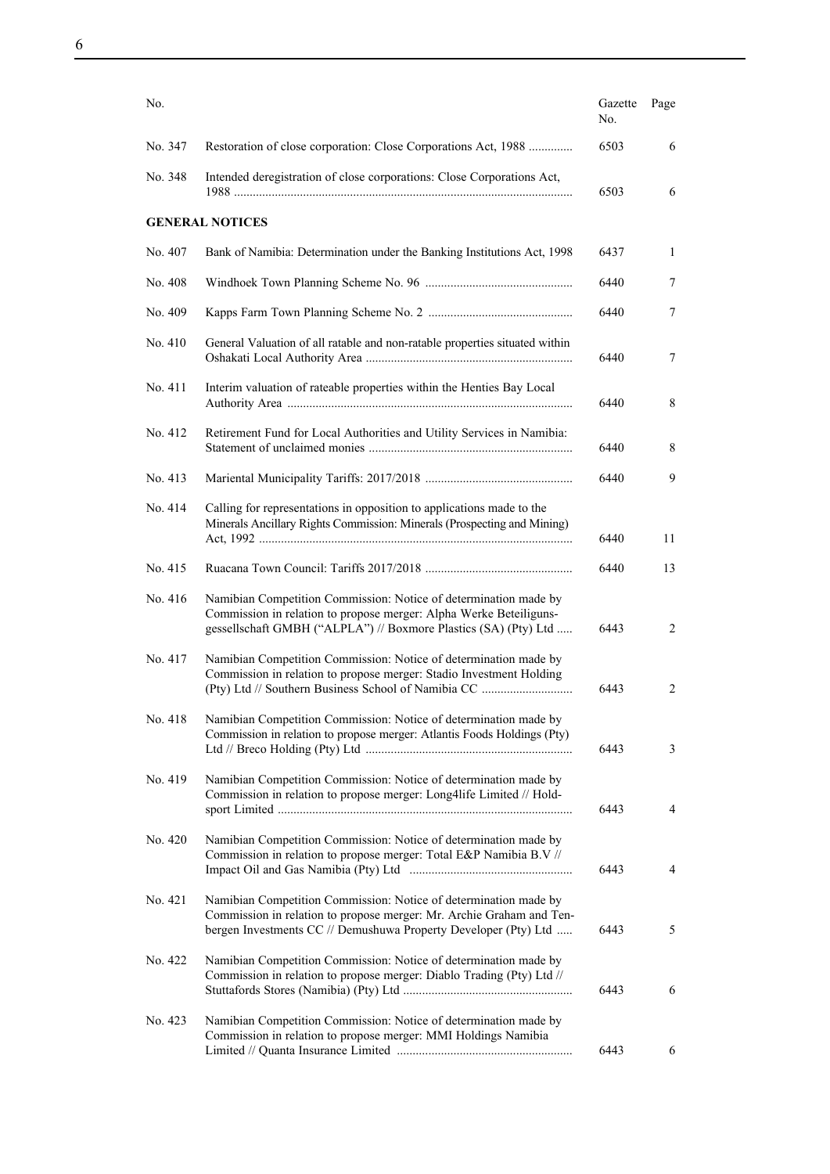| No.     |                                                                                                                                                                                                             | Gazette<br>No. | Page           |
|---------|-------------------------------------------------------------------------------------------------------------------------------------------------------------------------------------------------------------|----------------|----------------|
| No. 347 | Restoration of close corporation: Close Corporations Act, 1988                                                                                                                                              | 6503           | 6              |
| No. 348 | Intended deregistration of close corporations: Close Corporations Act,                                                                                                                                      | 6503           | 6              |
|         | <b>GENERAL NOTICES</b>                                                                                                                                                                                      |                |                |
| No. 407 | Bank of Namibia: Determination under the Banking Institutions Act, 1998                                                                                                                                     | 6437           | 1              |
| No. 408 |                                                                                                                                                                                                             | 6440           | 7              |
| No. 409 |                                                                                                                                                                                                             | 6440           | 7              |
| No. 410 | General Valuation of all ratable and non-ratable properties situated within                                                                                                                                 | 6440           | 7              |
| No. 411 | Interim valuation of rateable properties within the Henties Bay Local                                                                                                                                       | 6440           | 8              |
| No. 412 | Retirement Fund for Local Authorities and Utility Services in Namibia:                                                                                                                                      | 6440           | 8              |
| No. 413 |                                                                                                                                                                                                             | 6440           | 9              |
| No. 414 | Calling for representations in opposition to applications made to the<br>Minerals Ancillary Rights Commission: Minerals (Prospecting and Mining)                                                            | 6440           | 11             |
| No. 415 |                                                                                                                                                                                                             | 6440           | 13             |
| No. 416 | Namibian Competition Commission: Notice of determination made by<br>Commission in relation to propose merger: Alpha Werke Beteiliguns-<br>gessellschaft GMBH ("ALPLA") // Boxmore Plastics (SA) (Pty) Ltd   | 6443           | 2              |
| No. 417 | Namibian Competition Commission: Notice of determination made by<br>Commission in relation to propose merger: Stadio Investment Holding<br>(Pty) Ltd // Southern Business School of Namibia CC              | 6443           | $\overline{2}$ |
| No. 418 | Namibian Competition Commission: Notice of determination made by<br>Commission in relation to propose merger: Atlantis Foods Holdings (Pty)                                                                 | 6443           | 3              |
| No. 419 | Namibian Competition Commission: Notice of determination made by<br>Commission in relation to propose merger: Long4life Limited // Hold-                                                                    | 6443           | $\overline{4}$ |
| No. 420 | Namibian Competition Commission: Notice of determination made by<br>Commission in relation to propose merger: Total E&P Namibia B.V //                                                                      | 6443           | 4              |
| No. 421 | Namibian Competition Commission: Notice of determination made by<br>Commission in relation to propose merger: Mr. Archie Graham and Ten-<br>bergen Investments CC // Demushuwa Property Developer (Pty) Ltd | 6443           | 5              |
| No. 422 | Namibian Competition Commission: Notice of determination made by<br>Commission in relation to propose merger: Diablo Trading (Pty) Ltd //                                                                   | 6443           | 6              |
| No. 423 | Namibian Competition Commission: Notice of determination made by<br>Commission in relation to propose merger: MMI Holdings Namibia                                                                          | 6443           | 6              |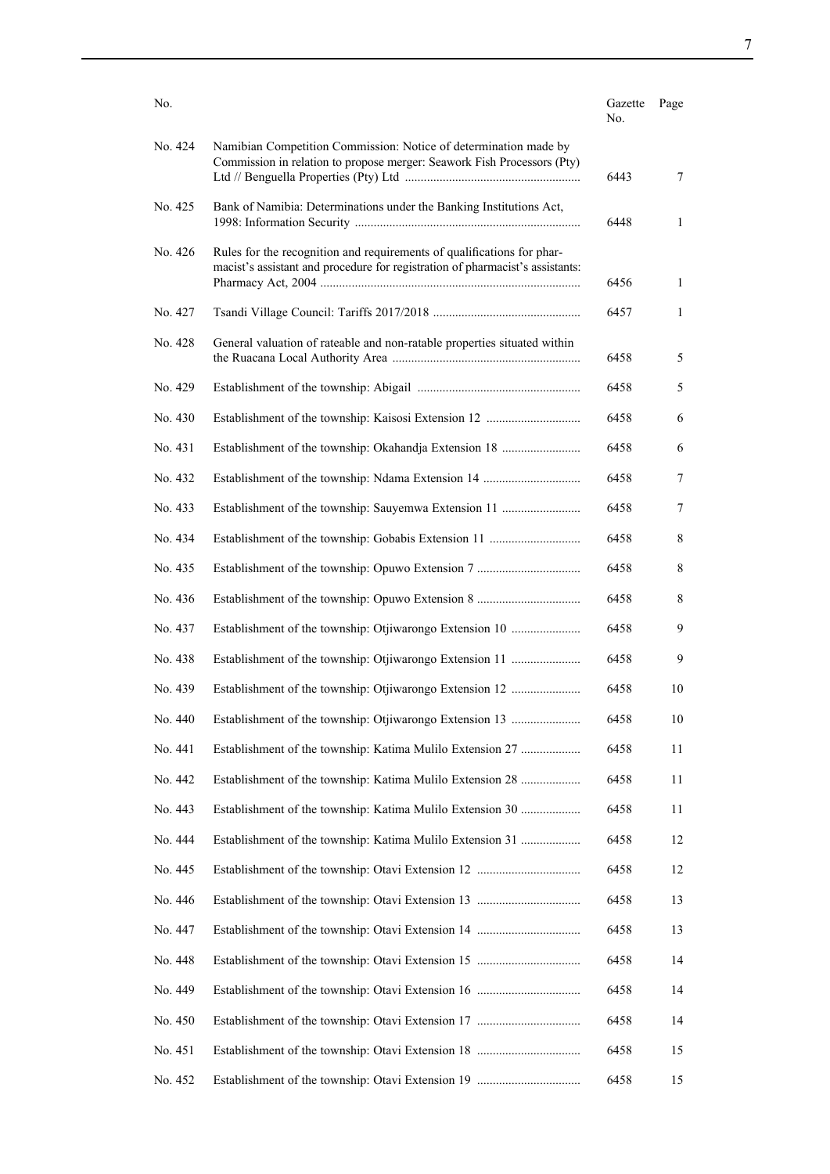| No.     |                                                                                                                                                         | Gazette<br>No. | Page |
|---------|---------------------------------------------------------------------------------------------------------------------------------------------------------|----------------|------|
| No. 424 | Namibian Competition Commission: Notice of determination made by<br>Commission in relation to propose merger: Seawork Fish Processors (Pty)             | 6443           | 7    |
| No. 425 | Bank of Namibia: Determinations under the Banking Institutions Act,                                                                                     | 6448           | 1    |
| No. 426 | Rules for the recognition and requirements of qualifications for phar-<br>macist's assistant and procedure for registration of pharmacist's assistants: | 6456           | 1    |
| No. 427 |                                                                                                                                                         | 6457           | 1    |
| No. 428 | General valuation of rateable and non-ratable properties situated within                                                                                | 6458           | 5    |
| No. 429 |                                                                                                                                                         | 6458           | 5    |
| No. 430 |                                                                                                                                                         | 6458           | 6    |
| No. 431 | Establishment of the township: Okahandja Extension 18                                                                                                   | 6458           | 6    |
| No. 432 |                                                                                                                                                         | 6458           | 7    |
| No. 433 | Establishment of the township: Sauyemwa Extension 11                                                                                                    | 6458           | 7    |
| No. 434 |                                                                                                                                                         | 6458           | 8    |
| No. 435 |                                                                                                                                                         | 6458           | 8    |
| No. 436 |                                                                                                                                                         | 6458           | 8    |
| No. 437 | Establishment of the township: Otjiwarongo Extension 10                                                                                                 | 6458           | 9    |
| No. 438 | Establishment of the township: Otjiwarongo Extension 11                                                                                                 | 6458           | 9    |
| No. 439 | Establishment of the township: Otjiwarongo Extension 12                                                                                                 | 6458           | 10   |
| No. 440 | Establishment of the township: Otjiwarongo Extension 13                                                                                                 | 6458           | 10   |
| No. 441 | Establishment of the township: Katima Mulilo Extension 27                                                                                               | 6458           | 11   |
| No. 442 | Establishment of the township: Katima Mulilo Extension 28                                                                                               | 6458           | 11   |
| No. 443 | Establishment of the township: Katima Mulilo Extension 30                                                                                               | 6458           | 11   |
| No. 444 | Establishment of the township: Katima Mulilo Extension 31                                                                                               | 6458           | 12   |
| No. 445 |                                                                                                                                                         | 6458           | 12   |
| No. 446 |                                                                                                                                                         | 6458           | 13   |
| No. 447 |                                                                                                                                                         | 6458           | 13   |
| No. 448 |                                                                                                                                                         | 6458           | 14   |
| No. 449 |                                                                                                                                                         | 6458           | 14   |
| No. 450 |                                                                                                                                                         | 6458           | 14   |
| No. 451 |                                                                                                                                                         | 6458           | 15   |
| No. 452 |                                                                                                                                                         | 6458           | 15   |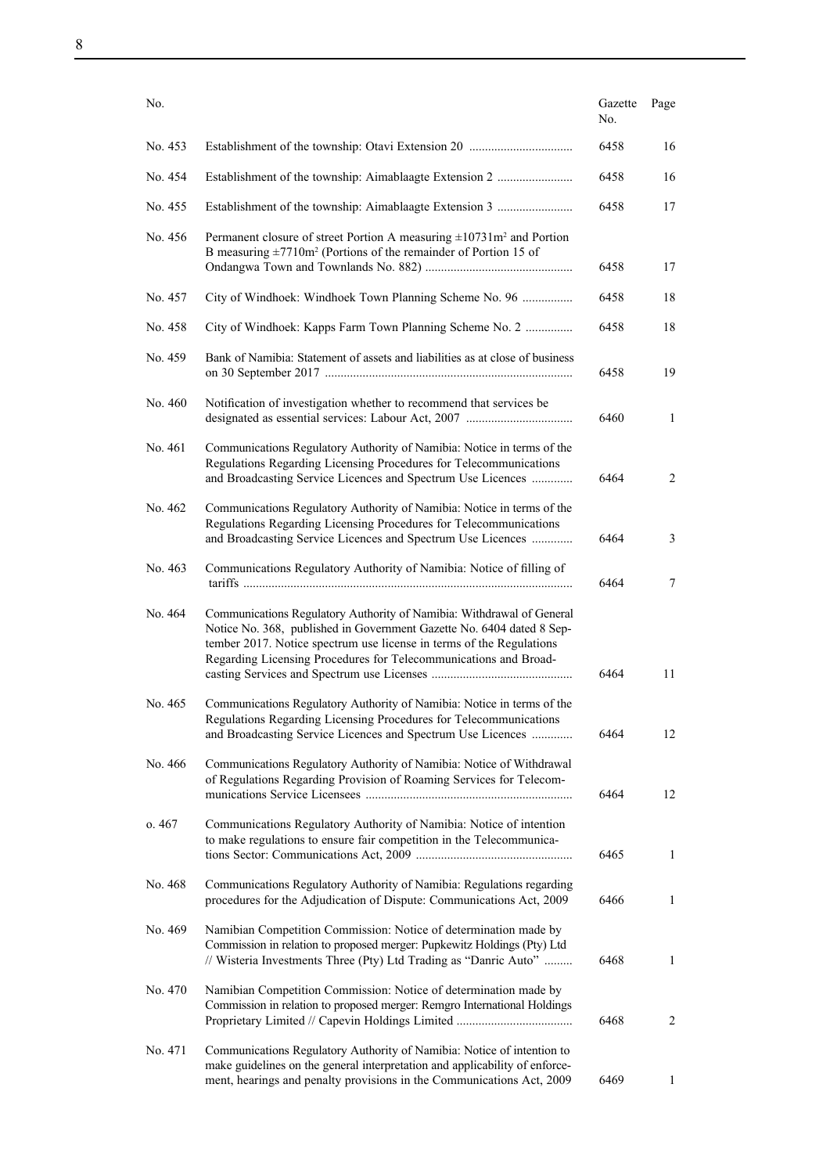| No.     |                                                                                                                                                                                                                                                                                            | Gazette<br>No. | Page         |
|---------|--------------------------------------------------------------------------------------------------------------------------------------------------------------------------------------------------------------------------------------------------------------------------------------------|----------------|--------------|
| No. 453 |                                                                                                                                                                                                                                                                                            | 6458           | 16           |
| No. 454 | Establishment of the township: Aimablaagte Extension 2                                                                                                                                                                                                                                     | 6458           | 16           |
| No. 455 | Establishment of the township: Aimablaagte Extension 3                                                                                                                                                                                                                                     | 6458           | 17           |
| No. 456 | Permanent closure of street Portion A measuring $\pm 10731$ m <sup>2</sup> and Portion<br>B measuring $\pm 7710$ m <sup>2</sup> (Portions of the remainder of Portion 15 of                                                                                                                | 6458           | 17           |
| No. 457 | City of Windhoek: Windhoek Town Planning Scheme No. 96                                                                                                                                                                                                                                     | 6458           | 18           |
| No. 458 | City of Windhoek: Kapps Farm Town Planning Scheme No. 2                                                                                                                                                                                                                                    | 6458           | 18           |
| No. 459 | Bank of Namibia: Statement of assets and liabilities as at close of business                                                                                                                                                                                                               | 6458           | 19           |
| No. 460 | Notification of investigation whether to recommend that services be                                                                                                                                                                                                                        | 6460           | $\mathbf{1}$ |
| No. 461 | Communications Regulatory Authority of Namibia: Notice in terms of the<br>Regulations Regarding Licensing Procedures for Telecommunications<br>and Broadcasting Service Licences and Spectrum Use Licences                                                                                 | 6464           | 2            |
| No. 462 | Communications Regulatory Authority of Namibia: Notice in terms of the<br>Regulations Regarding Licensing Procedures for Telecommunications<br>and Broadcasting Service Licences and Spectrum Use Licences                                                                                 | 6464           | 3            |
| No. 463 | Communications Regulatory Authority of Namibia: Notice of filling of                                                                                                                                                                                                                       | 6464           | 7            |
| No. 464 | Communications Regulatory Authority of Namibia: Withdrawal of General<br>Notice No. 368, published in Government Gazette No. 6404 dated 8 Sep-<br>tember 2017. Notice spectrum use license in terms of the Regulations<br>Regarding Licensing Procedures for Telecommunications and Broad- | 6464           | 11           |
| No. 465 | Communications Regulatory Authority of Namibia: Notice in terms of the<br>Regulations Regarding Licensing Procedures for Telecommunications<br>and Broadcasting Service Licences and Spectrum Use Licences                                                                                 | 6464           | 12           |
| No. 466 | Communications Regulatory Authority of Namibia: Notice of Withdrawal<br>of Regulations Regarding Provision of Roaming Services for Telecom-                                                                                                                                                | 6464           | 12           |
| 0.467   | Communications Regulatory Authority of Namibia: Notice of intention<br>to make regulations to ensure fair competition in the Telecommunica-                                                                                                                                                | 6465           | 1            |
| No. 468 | Communications Regulatory Authority of Namibia: Regulations regarding<br>procedures for the Adjudication of Dispute: Communications Act, 2009                                                                                                                                              | 6466           | 1            |
| No. 469 | Namibian Competition Commission: Notice of determination made by<br>Commission in relation to proposed merger: Pupkewitz Holdings (Pty) Ltd<br>// Wisteria Investments Three (Pty) Ltd Trading as "Danric Auto"                                                                            | 6468           | 1            |
| No. 470 | Namibian Competition Commission: Notice of determination made by<br>Commission in relation to proposed merger: Remgro International Holdings                                                                                                                                               | 6468           | 2            |
| No. 471 | Communications Regulatory Authority of Namibia: Notice of intention to<br>make guidelines on the general interpretation and applicability of enforce-<br>ment, hearings and penalty provisions in the Communications Act, 2009                                                             | 6469           | $\mathbf{1}$ |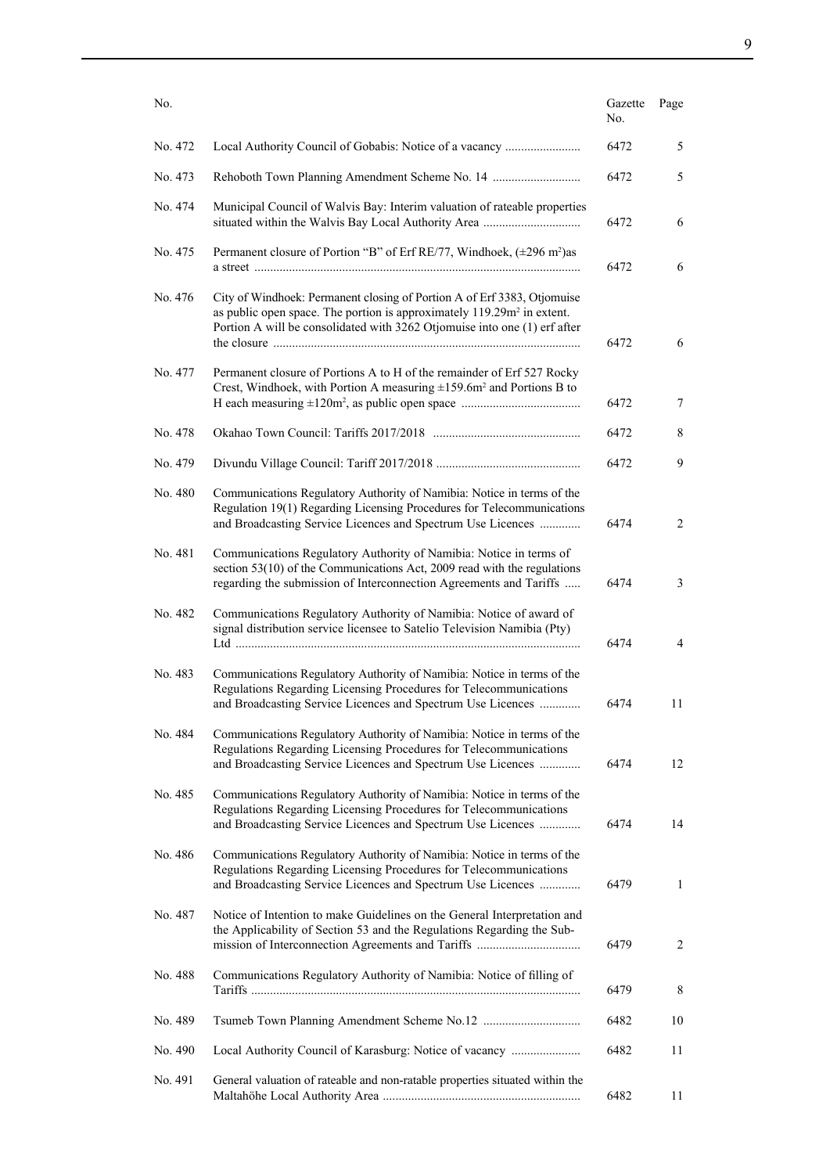| No.     |                                                                                                                                                                                                                                            | Gazette<br>No. | Page           |
|---------|--------------------------------------------------------------------------------------------------------------------------------------------------------------------------------------------------------------------------------------------|----------------|----------------|
| No. 472 |                                                                                                                                                                                                                                            | 6472           | 5              |
| No. 473 |                                                                                                                                                                                                                                            | 6472           | 5              |
| No. 474 | Municipal Council of Walvis Bay: Interim valuation of rateable properties                                                                                                                                                                  | 6472           | 6              |
| No. 475 | Permanent closure of Portion "B" of Erf RE/77, Windhoek, (±296 m <sup>2</sup> )as                                                                                                                                                          | 6472           | 6              |
| No. 476 | City of Windhoek: Permanent closing of Portion A of Erf 3383, Otjomuise<br>as public open space. The portion is approximately 119.29m <sup>2</sup> in extent.<br>Portion A will be consolidated with 3262 Otjomuise into one (1) erf after | 6472           | 6              |
| No. 477 | Permanent closure of Portions A to H of the remainder of Erf 527 Rocky<br>Crest, Windhoek, with Portion A measuring $\pm 159.6$ m <sup>2</sup> and Portions B to                                                                           | 6472           | 7              |
| No. 478 |                                                                                                                                                                                                                                            | 6472           | 8              |
| No. 479 |                                                                                                                                                                                                                                            | 6472           | 9              |
| No. 480 | Communications Regulatory Authority of Namibia: Notice in terms of the<br>Regulation 19(1) Regarding Licensing Procedures for Telecommunications<br>and Broadcasting Service Licences and Spectrum Use Licences                            | 6474           | $\overline{2}$ |
| No. 481 | Communications Regulatory Authority of Namibia: Notice in terms of<br>section 53(10) of the Communications Act, 2009 read with the regulations<br>regarding the submission of Interconnection Agreements and Tariffs                       | 6474           | 3              |
| No. 482 | Communications Regulatory Authority of Namibia: Notice of award of<br>signal distribution service licensee to Satelio Television Namibia (Pty)                                                                                             | 6474           | 4              |
| No. 483 | Communications Regulatory Authority of Namibia: Notice in terms of the<br>Regulations Regarding Licensing Procedures for Telecommunications<br>and Broadcasting Service Licences and Spectrum Use Licences                                 | 6474           | 11             |
| No. 484 | Communications Regulatory Authority of Namibia: Notice in terms of the<br>Regulations Regarding Licensing Procedures for Telecommunications<br>and Broadcasting Service Licences and Spectrum Use Licences                                 | 6474           | 12             |
| No. 485 | Communications Regulatory Authority of Namibia: Notice in terms of the<br>Regulations Regarding Licensing Procedures for Telecommunications<br>and Broadcasting Service Licences and Spectrum Use Licences                                 | 6474           | 14             |
| No. 486 | Communications Regulatory Authority of Namibia: Notice in terms of the<br>Regulations Regarding Licensing Procedures for Telecommunications<br>and Broadcasting Service Licences and Spectrum Use Licences                                 | 6479           | $\mathbf{1}$   |
| No. 487 | Notice of Intention to make Guidelines on the General Interpretation and<br>the Applicability of Section 53 and the Regulations Regarding the Sub-                                                                                         | 6479           | $\overline{2}$ |
| No. 488 | Communications Regulatory Authority of Namibia: Notice of filling of                                                                                                                                                                       | 6479           | 8              |
| No. 489 |                                                                                                                                                                                                                                            | 6482           | 10             |
| No. 490 | Local Authority Council of Karasburg: Notice of vacancy                                                                                                                                                                                    | 6482           | 11             |
| No. 491 | General valuation of rateable and non-ratable properties situated within the                                                                                                                                                               | 6482           | 11             |